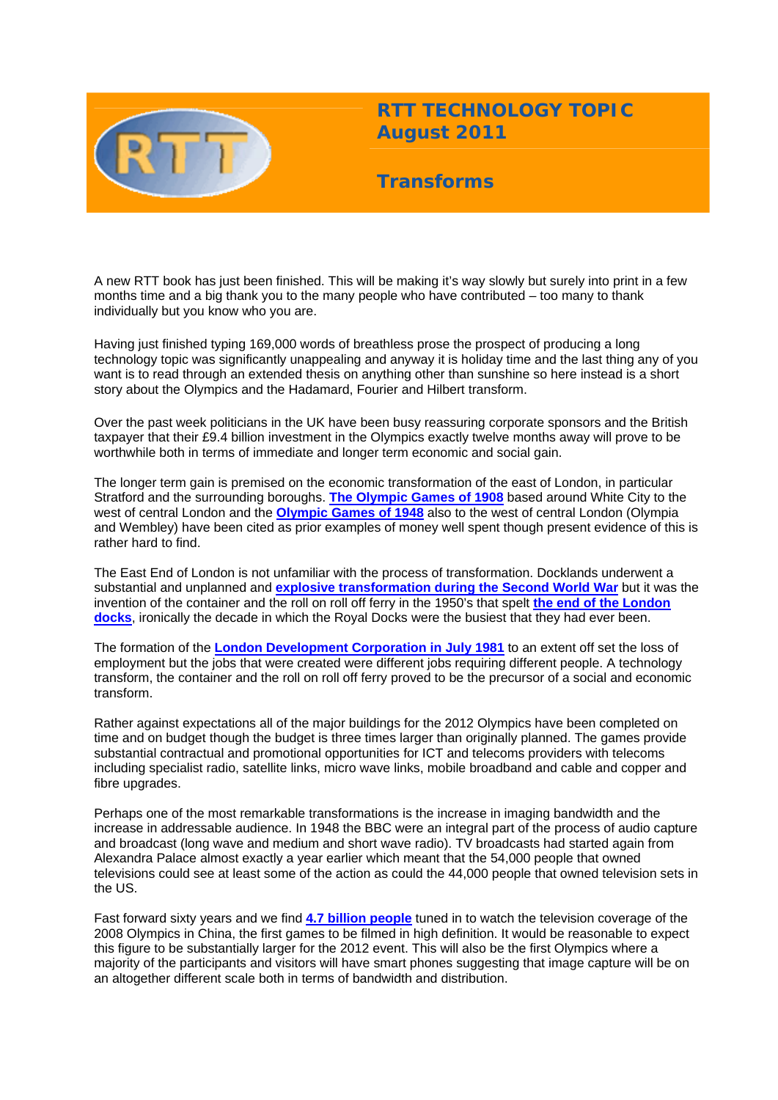

## **RTT TECHNOLOGY TOPIC August 2011**

## **Transforms**

A new RTT book has just been finished. This will be making it's way slowly but surely into print in a few months time and a big thank you to the many people who have contributed – too many to thank individually but you know who you are.

Having just finished typing 169,000 words of breathless prose the prospect of producing a long technology topic was significantly unappealing and anyway it is holiday time and the last thing any of you want is to read through an extended thesis on anything other than sunshine so here instead is a short story about the Olympics and the Hadamard, Fourier and Hilbert transform.

Over the past week politicians in the UK have been busy reassuring corporate sponsors and the British taxpayer that their £9.4 billion investment in the Olympics exactly twelve months away will prove to be worthwhile both in terms of immediate and longer term economic and social gain.

The longer term gain is premised on the economic transformation of the east of London, in particular Stratford and the surrounding boroughs. **[The Olympic Games of 1908](http://www.bbc.co.uk/history/british/britain_wwone/olympics_1908_gallery_04.shtml)** based around White City to the west of central London and the **[Olympic Games of 1948](http://www.bbc.co.uk/history/british/modern/olympics_1948_gallery.shtml)** also to the west of central London (Olympia and Wembley) have been cited as prior examples of money well spent though present evidence of this is rather hard to find.

The East End of London is not unfamiliar with the process of transformation. Docklands underwent a substantial and unplanned and **[explosive transformation during the Second World War](http://www.museumoflondon.org.uk/Collections-Research/Research/Your-Research/DocklandsWar/Docklands-at-War-The-Blitz.htm)** but it was the invention of the container and the roll on roll off ferry in the 1950's that spelt **[the end of the London](http://www.royaldockstrust.org.uk/rdhist.htm)  [docks](http://www.royaldockstrust.org.uk/rdhist.htm)**, ironically the decade in which the Royal Docks were the busiest that they had ever been.

The formation of the **[London Development Corporation in July 1981](http://www.lddc-history.org.uk/)** to an extent off set the loss of employment but the jobs that were created were different jobs requiring different people. A technology transform, the container and the roll on roll off ferry proved to be the precursor of a social and economic transform.

Rather against expectations all of the major buildings for the 2012 Olympics have been completed on time and on budget though the budget is three times larger than originally planned. The games provide substantial contractual and promotional opportunities for ICT and telecoms providers with telecoms including specialist radio, satellite links, micro wave links, mobile broadband and cable and copper and fibre upgrades.

Perhaps one of the most remarkable transformations is the increase in imaging bandwidth and the increase in addressable audience. In 1948 the BBC were an integral part of the process of audio capture and broadcast (long wave and medium and short wave radio). TV broadcasts had started again from Alexandra Palace almost exactly a year earlier which meant that the 54,000 people that owned televisions could see at least some of the action as could the 44,000 people that owned television sets in the US.

Fast forward sixty years and we find **[4.7 billion people](http://www.agbnielsen.net/news/news.asp?id=0&newstype=G&mode=search&tag=Olympics)** tuned in to watch the television coverage of the 2008 Olympics in China, the first games to be filmed in high definition. It would be reasonable to expect this figure to be substantially larger for the 2012 event. This will also be the first Olympics where a majority of the participants and visitors will have smart phones suggesting that image capture will be on an altogether different scale both in terms of bandwidth and distribution.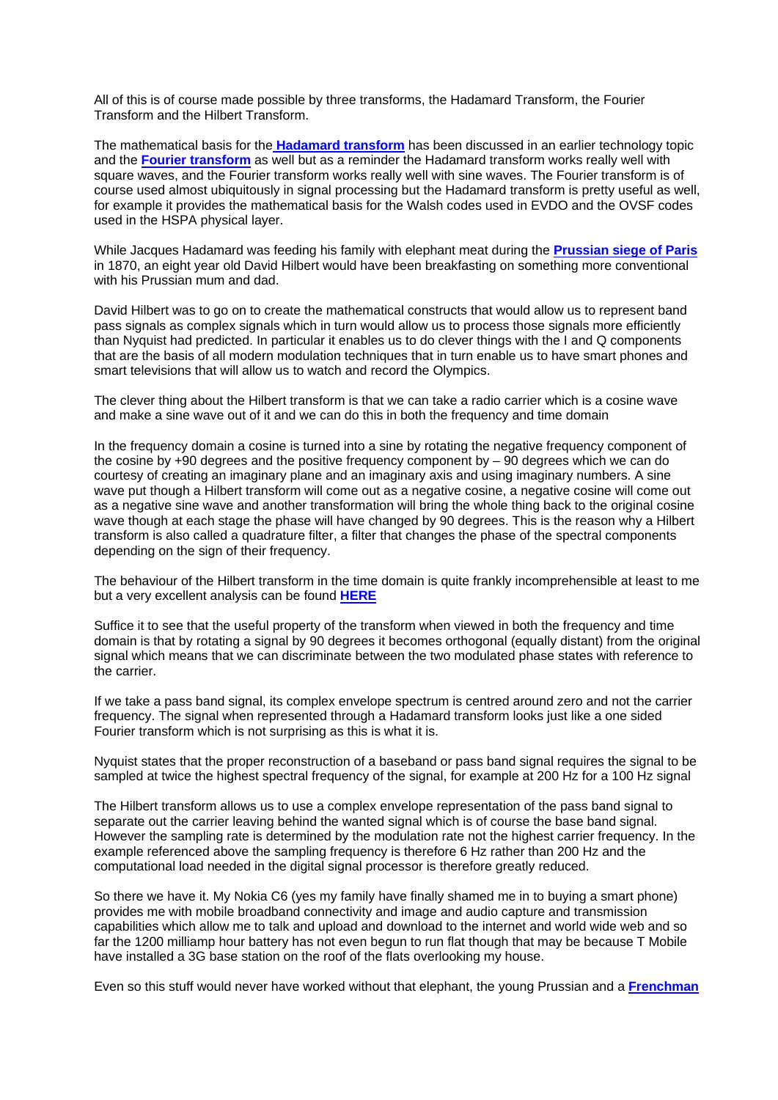All of this is of course made possible by three transforms, the Hadamard Transform, the Fourier Transform and the Hilbert Transform.

The mathematical basis for the **[Hadamard transform](http://www.rttonline.com/tt/TT2005_010.pdf)** has been discussed in an earlier technology topic and the **[Fourier transform](http://www.rttonline.com/tt/TT2005_009.pdf)** as well but as a reminder the Hadamard transform works really well with square waves, and the Fourier transform works really well with sine waves. The Fourier transform is of course used almost ubiquitously in signal processing but the Hadamard transform is pretty useful as well, for example it provides the mathematical basis for the Walsh codes used in EVDO and the OVSF codes used in the HSPA physical layer.

While Jacques Hadamard was feeding his family with elephant meat during the **Prussian siege of Paris** in 1870, an eight year old David Hilbert would have been breakfasting on something more conventional with his Prussian mum and dad.

David Hilbert was to go on to create the mathematical constructs that would allow us to represent band pass signals as complex signals which in turn would allow us to process those signals more efficiently than Nyquist had predicted. In particular it enables us to do clever things with the I and Q components that are the basis of all modern modulation techniques that in turn enable us to have smart phones and smart televisions that will allow us to watch and record the Olympics.

The clever thing about the Hilbert transform is that we can take a radio carrier which is a cosine wave and make a sine wave out of it and we can do this in both the frequency and time domain

In the frequency domain a cosine is turned into a sine by rotating the negative frequency component of the cosine by +90 degrees and the positive frequency component by – 90 degrees which we can do courtesy of creating an imaginary plane and an imaginary axis and using imaginary numbers. A sine wave put though a Hilbert transform will come out as a negative cosine, a negative cosine will come out as a negative sine wave and another transformation will bring the whole thing back to the original cosine wave though at each stage the phase will have changed by 90 degrees. This is the reason why a Hilbert transform is also called a quadrature filter, a filter that changes the phase of the spectral components depending on the sign of their frequency.

The behaviour of the Hilbert transform in the time domain is quite frankly incomprehensible at least to me but a very excellent analysis can be found **[HERE](http://www.complextoreal.com/tcomplex.htm)**

Suffice it to see that the useful property of the transform when viewed in both the frequency and time domain is that by rotating a signal by 90 degrees it becomes orthogonal (equally distant) from the original signal which means that we can discriminate between the two modulated phase states with reference to the carrier.

If we take a pass band signal, its complex envelope spectrum is centred around zero and not the carrier frequency. The signal when represented through a Hadamard transform looks just like a one sided Fourier transform which is not surprising as this is what it is.

Nyquist states that the proper reconstruction of a baseband or pass band signal requires the signal to be sampled at twice the highest spectral frequency of the signal, for example at 200 Hz for a 100 Hz signal

The Hilbert transform allows us to use a complex envelope representation of the pass band signal to separate out the carrier leaving behind the wanted signal which is of course the base band signal. However the sampling rate is determined by the modulation rate not the highest carrier frequency. In the example referenced above the sampling frequency is therefore 6 Hz rather than 200 Hz and the computational load needed in the digital signal processor is therefore greatly reduced.

So there we have it. My Nokia C6 (yes my family have finally shamed me in to buying a smart phone) provides me with mobile broadband connectivity and image and audio capture and transmission capabilities which allow me to talk and upload and download to the internet and world wide web and so far the 1200 milliamp hour battery has not even begun to run flat though that may be because T Mobile have installed a 3G base station on the roof of the flats overlooking my house.

Even so this stuff would never have worked without that elephant, the young Prussian and a **[Frenchman](http://www.ujf-grenoble.fr/presentation/biography-of-joseph-fourier/biography-of-joseph-fourier-150564.htm)**